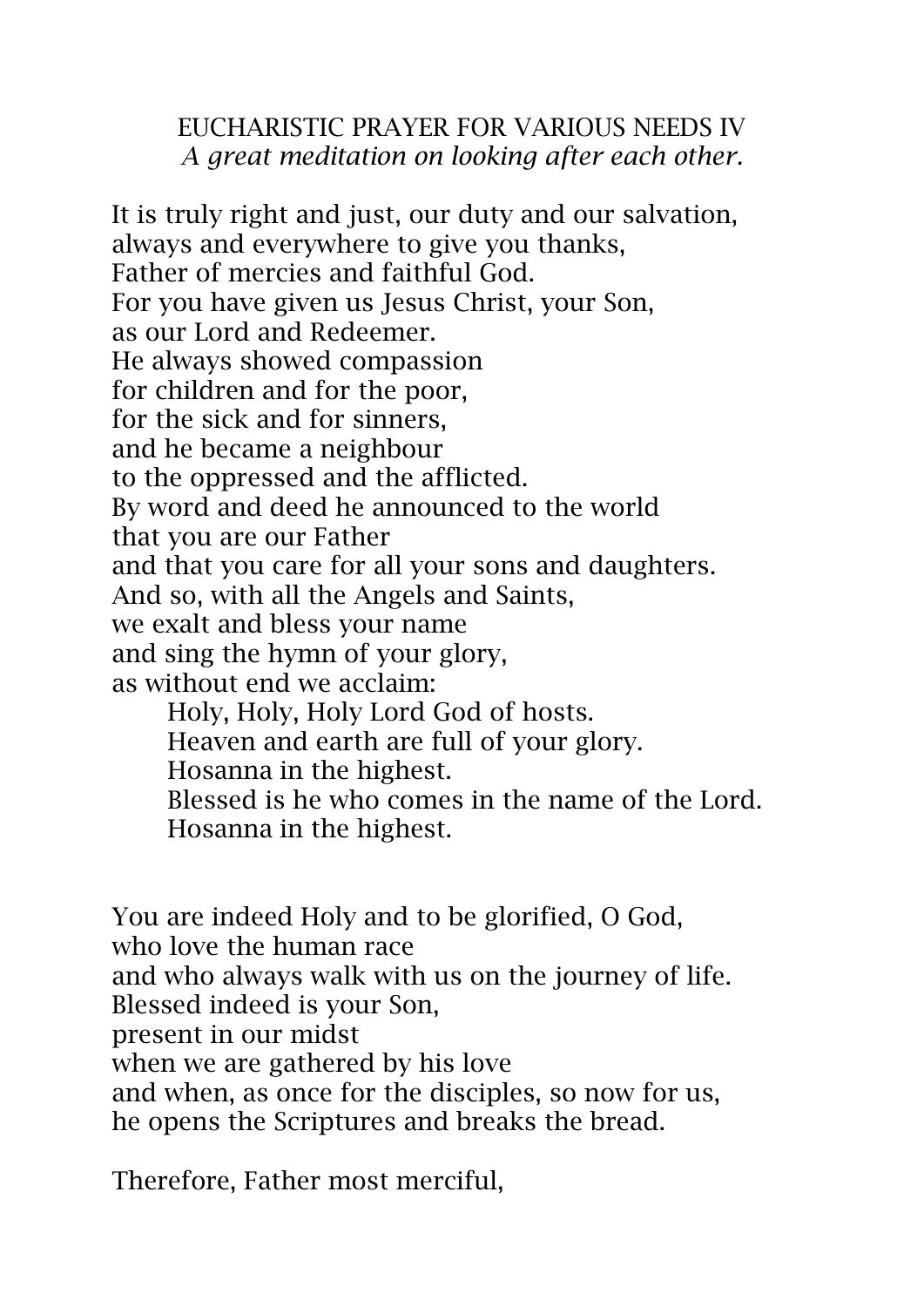## EUCHARISTIC PRAYER FOR VARIOUS NEEDS IV *A great meditation on looking after each other.*

It is truly right and just, our duty and our salvation, always and everywhere to give you thanks, Father of mercies and faithful God. For you have given us Jesus Christ, your Son, as our Lord and Redeemer. He always showed compassion for children and for the poor, for the sick and for sinners, and he became a neighbour to the oppressed and the afflicted. By word and deed he announced to the world that you are our Father and that you care for all your sons and daughters. And so, with all the Angels and Saints, we exalt and bless your name and sing the hymn of your glory, as without end we acclaim: Holy, Holy, Holy Lord God of hosts. Heaven and earth are full of your glory. Hosanna in the highest. Blessed is he who comes in the name of the Lord. Hosanna in the highest.

You are indeed Holy and to be glorified, O God, who love the human race and who always walk with us on the journey of life. Blessed indeed is your Son, present in our midst when we are gathered by his love and when, as once for the disciples, so now for us, he opens the Scriptures and breaks the bread.

Therefore, Father most merciful,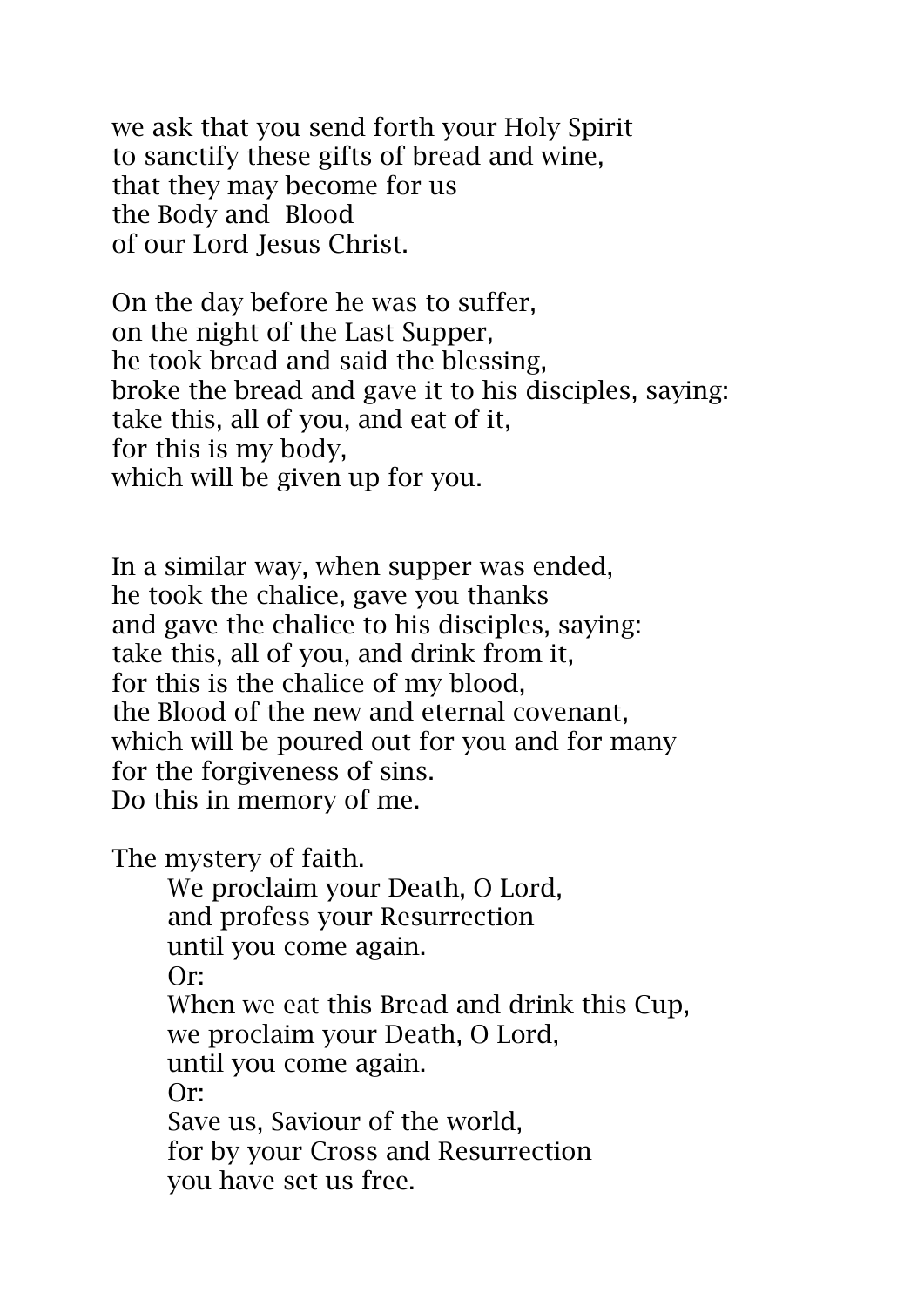we ask that you send forth your Holy Spirit to sanctify these gifts of bread and wine, that they may become for us the Body and Blood of our Lord Jesus Christ.

On the day before he was to suffer, on the night of the Last Supper, he took bread and said the blessing, broke the bread and gave it to his disciples, saying: take this, all of you, and eat of it, for this is my body, which will be given up for you.

In a similar way, when supper was ended, he took the chalice, gave you thanks and gave the chalice to his disciples, saying: take this, all of you, and drink from it, for this is the chalice of my blood, the Blood of the new and eternal covenant, which will be poured out for you and for many for the forgiveness of sins. Do this in memory of me.

The mystery of faith.

We proclaim your Death, O Lord, and profess your Resurrection until you come again. Or: When we eat this Bread and drink this Cup, we proclaim your Death, O Lord, until you come again. Or: Save us, Saviour of the world, for by your Cross and Resurrection you have set us free.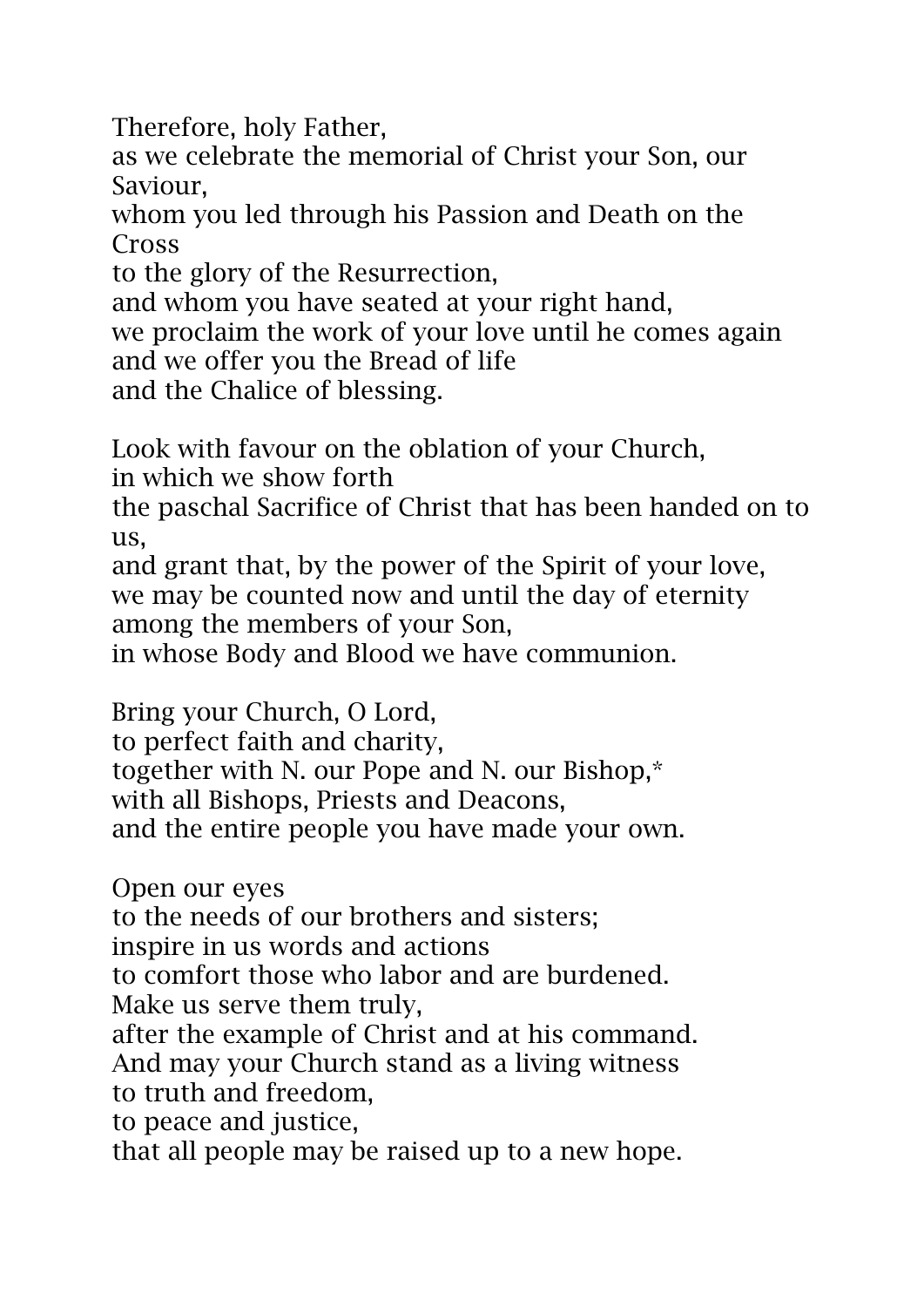Therefore, holy Father,

as we celebrate the memorial of Christ your Son, our Saviour,

whom you led through his Passion and Death on the Cross

to the glory of the Resurrection,

and whom you have seated at your right hand,

we proclaim the work of your love until he comes again and we offer you the Bread of life

and the Chalice of blessing.

Look with favour on the oblation of your Church,

in which we show forth

the paschal Sacrifice of Christ that has been handed on to us,

and grant that, by the power of the Spirit of your love, we may be counted now and until the day of eternity among the members of your Son,

in whose Body and Blood we have communion.

Bring your Church, O Lord, to perfect faith and charity,

together with N. our Pope and N. our Bishop,\*

with all Bishops, Priests and Deacons,

and the entire people you have made your own.

Open our eyes

to the needs of our brothers and sisters;

inspire in us words and actions

to comfort those who labor and are burdened. Make us serve them truly,

after the example of Christ and at his command. And may your Church stand as a living witness

to truth and freedom,

to peace and justice,

that all people may be raised up to a new hope.